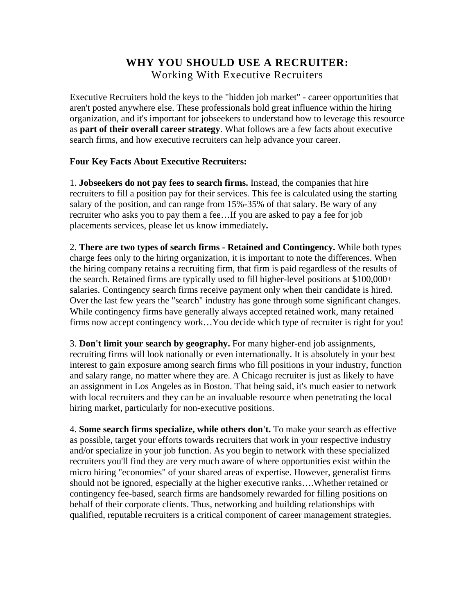## **WHY YOU SHOULD USE A RECRUITER:**  Working With Executive Recruiters

Executive Recruiters hold the keys to the "hidden job market" - career opportunities that aren't posted anywhere else. These professionals hold great influence within the hiring organization, and it's important for jobseekers to understand how to leverage this resource as **part of their overall career strategy**. What follows are a few facts about executive search firms, and how executive recruiters can help advance your career.

## **Four Key Facts About Executive Recruiters:**

1. **Jobseekers do not pay fees to search firms.** Instead, the companies that hire recruiters to fill a position pay for their services. This fee is calculated using the starting salary of the position, and can range from 15%-35% of that salary. Be wary of any recruiter who asks you to pay them a fee…If you are asked to pay a fee for job placements services, please [let us know immediately](mailto:support@kennedyinfo.com?subject=SelectRecruiters)**.** 

2. **There are two types of search firms - Retained and Contingency.** While both types charge fees only to the hiring organization, it is important to note the differences. When the hiring company retains a recruiting firm, that firm is paid regardless of the results of the search. Retained firms are typically used to fill higher-level positions at \$100,000+ salaries. Contingency search firms receive payment only when their candidate is hired. Over the last few years the "search" industry has gone through some significant changes. While contingency firms have generally always accepted retained work, many retained firms now accept contingency work…You decide which type of recruiter is right for you!

3. **Don't limit your search by geography.** For many higher-end job assignments, recruiting firms will look nationally or even internationally. It is absolutely in your best interest to gain exposure among search firms who fill positions in your industry, function and salary range, no matter where they are. A Chicago recruiter is just as likely to have an assignment in Los Angeles as in Boston. That being said, it's much easier to network with local recruiters and they can be an invaluable resource when penetrating the local hiring market, particularly for non-executive positions.

4. **Some search firms specialize, while others don't.** To make your search as effective as possible, target your efforts towards recruiters that work in your respective industry and/or specialize in your job function. As you begin to network with these specialized recruiters you'll find they are very much aware of where opportunities exist within the micro hiring "economies" of your shared areas of expertise. However, generalist firms should not be ignored, especially at the higher executive ranks….Whether retained or contingency fee-based, search firms are handsomely rewarded for filling positions on behalf of their corporate clients. Thus, networking and building relationships with qualified, reputable recruiters is a critical component of career management strategies.